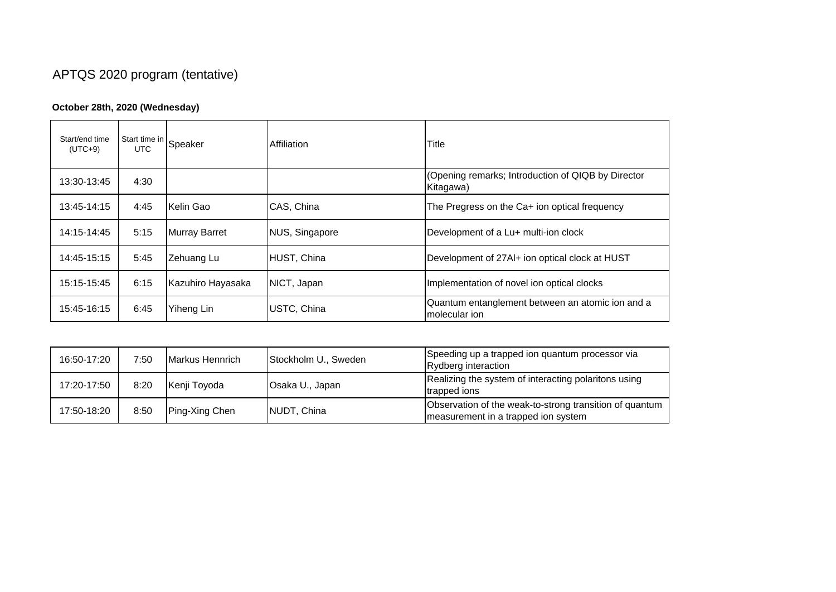## APTQS 2020 program (tentative)

## **October 28th, 2020 (Wednesday)**

| Start/end time<br>$(UTC+9)$ | Start time in Speaker |                      | Affiliation    | Title                                                             |
|-----------------------------|-----------------------|----------------------|----------------|-------------------------------------------------------------------|
| 13:30-13:45                 | 4:30                  |                      |                | (Opening remarks; Introduction of QIQB by Director<br>Kitagawa)   |
| 13:45-14:15                 | 4:45                  | Kelin Gao            | CAS, China     | The Pregress on the Ca+ ion optical frequency                     |
| 14:15-14:45                 | 5:15                  | <b>Murray Barret</b> | NUS, Singapore | Development of a Lu+ multi-ion clock                              |
| 14:45-15:15                 | 5:45                  | Zehuang Lu           | HUST, China    | Development of 27AI+ ion optical clock at HUST                    |
| 15:15-15:45                 | 6:15                  | Kazuhiro Hayasaka    | NICT, Japan    | Implementation of novel ion optical clocks                        |
| 15:45-16:15                 | 6:45                  | Yiheng Lin           | USTC, China    | Quantum entanglement between an atomic ion and a<br>molecular ion |

| 16:50-17:20 | 7:50 | Markus Hennrich | Stockholm U., Sweden | Speeding up a trapped ion quantum processor via<br>Rydberg interaction                         |
|-------------|------|-----------------|----------------------|------------------------------------------------------------------------------------------------|
| 17:20-17:50 | 8:20 | Kenji Toyoda    | Osaka U., Japan      | Realizing the system of interacting polaritons using<br>trapped ions                           |
| 17:50-18:20 | 8:50 | Ping-Xing Chen  | NUDT, China          | Observation of the weak-to-strong transition of quantum<br>measurement in a trapped ion system |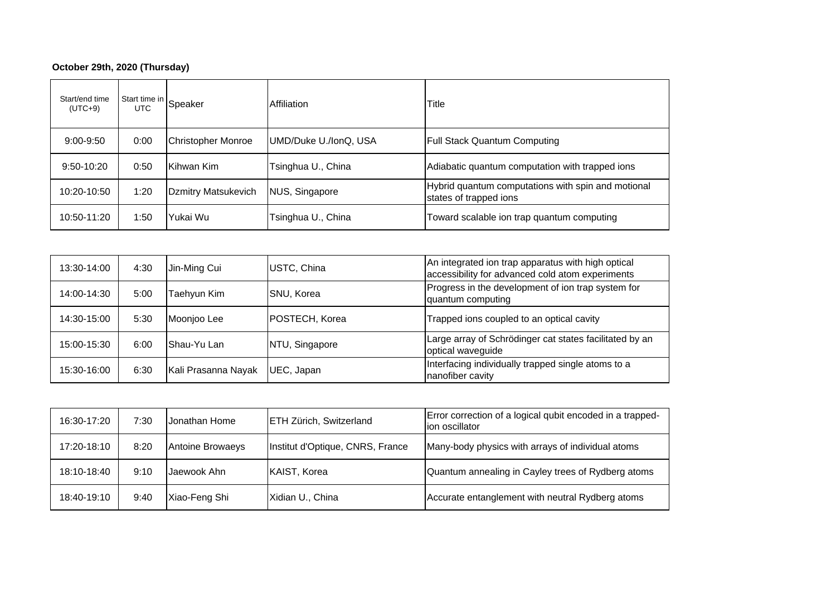## **October 29th, 2020 (Thursday)**

| Start/end time<br>$(UTC+9)$ | I Start time in Speaker |                            | Affiliation           | Title                                                                        |
|-----------------------------|-------------------------|----------------------------|-----------------------|------------------------------------------------------------------------------|
| $9:00 - 9:50$               | 0:00                    | <b>Christopher Monroe</b>  | UMD/Duke U./IonQ, USA | <b>Full Stack Quantum Computing</b>                                          |
| $9:50 - 10:20$              | 0:50                    | Kihwan Kim                 | Tsinghua U., China    | Adiabatic quantum computation with trapped ions                              |
| 10:20-10:50                 | 1:20                    | <b>Dzmitry Matsukevich</b> | NUS, Singapore        | Hybrid quantum computations with spin and motional<br>states of trapped ions |
| 10:50-11:20                 | 1:50                    | Yukai Wu                   | Tsinghua U., China    | Toward scalable ion trap quantum computing                                   |

| 13:30-14:00 | 4:30 | Jin-Ming Cui        | USTC, China    | An integrated ion trap apparatus with high optical<br>accessibility for advanced cold atom experiments |
|-------------|------|---------------------|----------------|--------------------------------------------------------------------------------------------------------|
| 14:00-14:30 | 5:00 | Taehyun Kim         | SNU, Korea     | Progress in the development of ion trap system for<br>quantum computing                                |
| 14:30-15:00 | 5:30 | Moonjoo Lee         | POSTECH, Korea | Trapped ions coupled to an optical cavity                                                              |
| 15:00-15:30 | 6:00 | IShau-Yu Lan        | NTU, Singapore | Large array of Schrödinger cat states facilitated by an<br>optical waveguide                           |
| 15:30-16:00 | 6:30 | Kali Prasanna Nayak | UEC, Japan     | Interfacing individually trapped single atoms to a<br>nanofiber cavity                                 |

| 16:30-17:20 | 7:30 | Jonathan Home    | <b>ETH Zürich, Switzerland</b>   | Error correction of a logical qubit encoded in a trapped-<br>lion oscillator |
|-------------|------|------------------|----------------------------------|------------------------------------------------------------------------------|
| 17:20-18:10 | 8:20 | Antoine Browaeys | Institut d'Optique, CNRS, France | Many-body physics with arrays of individual atoms                            |
| 18:10-18:40 | 9:10 | Jaewook Ahn      | <b>KAIST, Korea</b>              | Quantum annealing in Cayley trees of Rydberg atoms                           |
| 18:40-19:10 | 9:40 | Xiao-Feng Shi    | Xidian U., China                 | Accurate entanglement with neutral Rydberg atoms                             |